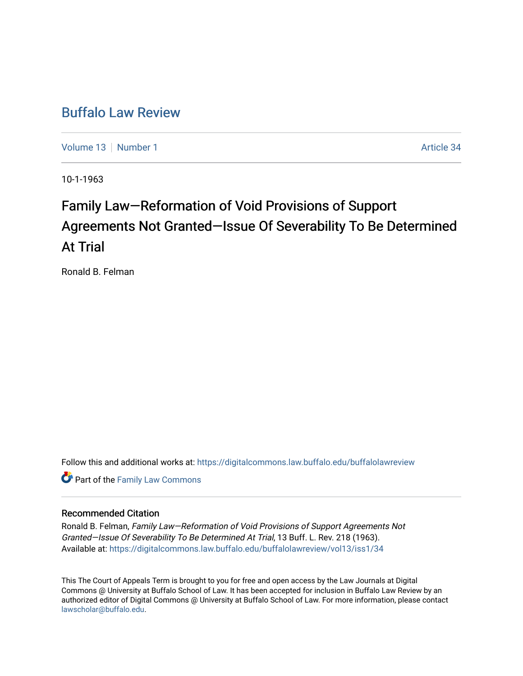# [Buffalo Law Review](https://digitalcommons.law.buffalo.edu/buffalolawreview)

[Volume 13](https://digitalcommons.law.buffalo.edu/buffalolawreview/vol13) [Number 1](https://digitalcommons.law.buffalo.edu/buffalolawreview/vol13/iss1) Article 34

10-1-1963

# Family Law–Reformation of Void Provisions of Support Agreements Not Granted–Issue Of Severability To Be Determined At Trial

Ronald B. Felman

Follow this and additional works at: [https://digitalcommons.law.buffalo.edu/buffalolawreview](https://digitalcommons.law.buffalo.edu/buffalolawreview?utm_source=digitalcommons.law.buffalo.edu%2Fbuffalolawreview%2Fvol13%2Fiss1%2F34&utm_medium=PDF&utm_campaign=PDFCoverPages) 

**Part of the Family Law Commons** 

# Recommended Citation

Ronald B. Felman, Family Law—Reformation of Void Provisions of Support Agreements Not Granted—Issue Of Severability To Be Determined At Trial, 13 Buff. L. Rev. 218 (1963). Available at: [https://digitalcommons.law.buffalo.edu/buffalolawreview/vol13/iss1/34](https://digitalcommons.law.buffalo.edu/buffalolawreview/vol13/iss1/34?utm_source=digitalcommons.law.buffalo.edu%2Fbuffalolawreview%2Fvol13%2Fiss1%2F34&utm_medium=PDF&utm_campaign=PDFCoverPages)

This The Court of Appeals Term is brought to you for free and open access by the Law Journals at Digital Commons @ University at Buffalo School of Law. It has been accepted for inclusion in Buffalo Law Review by an authorized editor of Digital Commons @ University at Buffalo School of Law. For more information, please contact [lawscholar@buffalo.edu](mailto:lawscholar@buffalo.edu).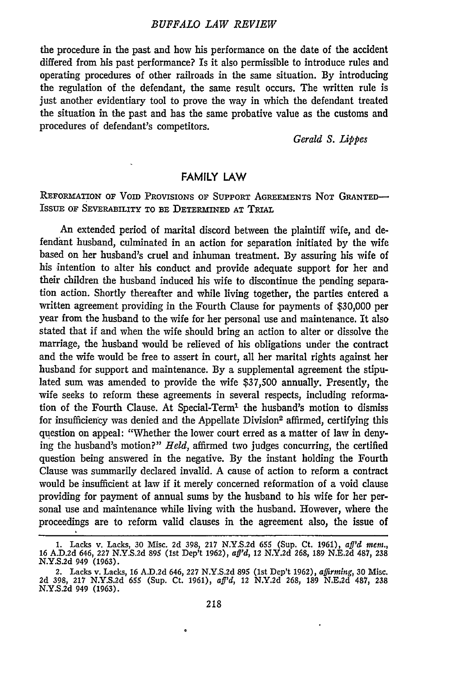#### *BUFFALO LAW REVIEW*

the procedure in the past and how his performance on the date of the accident differed from his past performance? Is it also permissible to introduce rules and operating procedures of other railroads in the same situation. By introducing the regulation of the defendant, the same result occurs. The written rule is just another evidentiary tool to prove the way in which the defendant treated the situation in the past and has the same probative value as the customs and procedures of defendant's competitors.

*Gerald S. Lippes*

### FAMILY LAW

**REFORMATION OF** Vom PRovIsIONs OF SUPPORT **AGREEMENTS** NoT **GRANTED-ISSUE** OF **SEVERABILITY** TO **BE DETERMINED AT TRIAL**

An extended period of marital discord between the plaintiff wife, and defendant husband, culminated in an action for separation initiated **by** the wife based on her husband's cruel and inhuman treatment. **By** assuring his wife of his intention to alter his conduct and provide adequate support for her and their children the husband induced his wife to discontinue the pending separation action. Shortly thereafter and while living together, the parties entered a written agreement providing in the Fourth Clause for payments of **\$30,000** per year from the husband to the wife for her personal use and maintenance. It also stated that if and when the wife should bring an action to alter or dissolve the marriage, the husband would be relieved of his obligations under the contract and the wife would be free to assert in court, all her marital rights against her husband for support and maintenance. **By** a supplemental agreement the stipulated sum was amended to provide the wife \$37,500 annually. Presently, the wife seeks to reform these agreements in several respects, including reformation of the Fourth Clause. At Special-Term' the husband's motion to dismiss for insufficiency was denied and the Appellate Division<sup>2</sup> affirmed, certifying this question on appeal: "Whether the lower court erred as a matter of law in denying the husband's motion?" *Held,* affirmed two judges concurring, the certified question being answered in the negative. By the instant holding the Fourth Clause was summarily declared invalid. A cause of action to reform a contract would be insufficient at law if it merely concerned reformation of a void clause providing for payment of annual sums by the husband to his wife for her personal use and maintenance while living with the husband. However, where the proceedings are to reform valid clauses in the agreement also, the issue of

<sup>1.</sup> Lacks v. Lacks, 30 Misc. 2d 398, 217 N.Y.S.2d 655 (Sup. Ct. 1961), aff'd mem.<br>16 A.D.2d 646, 227 N.Y.S.2d 895 (1st Dep't 1962), aff'd, 12 N.Y.2d 268, 189 N.E.2d 487, 238 **N.Y.S.2d 949 (1963).**

<sup>2.</sup> Lacks v. Lacks, **16 A.D.2d 646, 227 N.Y.S.2d 895** (lst Dep't **1962),** *affirming,* 30 Misc. **2d 398, 217 N.Y.S.2d 655** (Sup. Ct. **1961),** *aff'd,* 12 **N.Y.2d 268, 189 N.E,2d 487, 238 N.Y.S.2d** 949 **(1963).**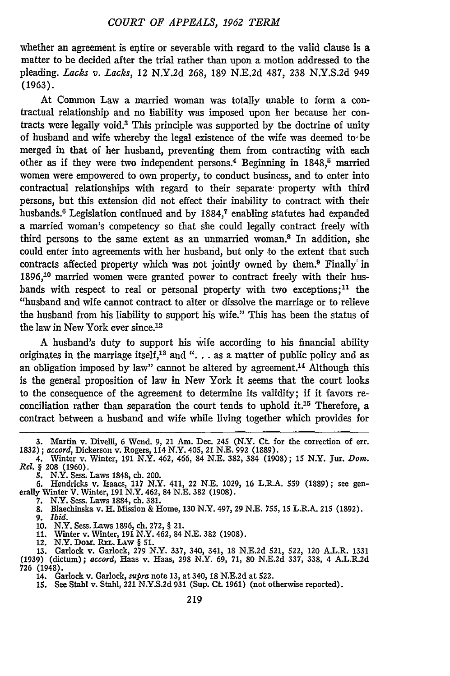whether an agreement is entire or severable with regard to the valid clause is a matter to be decided after the trial rather than upon a motion addressed to the pleading. *Lacks v. Lacks,* 12 N.Y.2d 268, 189 N.E.2d 487, 238 N.Y.S.2d 949 (1963).

At Common Law a married woman was totally unable to form a contractual relationship and no liability was imposed upon her because her contracts were legally void.3 This principle was supported by the doctrine of unity of husband and wife whereby the legal existence of the wife was deemed to-be merged in that of her husband, preventing them from contracting with each other as if they were two independent persons.<sup>4</sup> Beginning in 1848,<sup>5</sup> married women were empowered to own property, to conduct business, and to enter into contractual relationships with regard to their separate- property with third persons, but this extension did not effect their inability to contract with their husbands.<sup>6</sup> Legislation continued and by 1884,<sup>7</sup> enabling statutes had expanded a married woman's competency so that she could legally contract freely with third persons to the same extent as an unmarried woman.8 In addition, she could enter into agreements with her husband, but only to the extent that such contracts affected property which was not jointly owned by them.<sup>9</sup> Finally' in 1896,10 married women were granted power to contract freely with their husbands with respect to real or personal property with two exceptions;<sup>11</sup> the "husband and wife cannot contract to alter or dissolve the marriage or to relieve the husband from his liability to support his wife." This has been the status of the law in New York ever since.<sup>12</sup>

A husband's duty to support his wife according to his financial ability originates in the marriage itself,<sup>13</sup> and " $\ldots$  as a matter of public policy and as an obligation imposed by law" cannot be altered by agreement.14 Although this is the general proposition of law in New York it seems that the court looks to the consequence of the agreement to determine its validity; if it favors reconciliation rather than separation the court tends to uphold it.15 Therefore, a contract between a husband and wife while living together which provides for

5. N.Y. Sess. Laws 1848, ch. 200.

**10.** N.Y. Sess. Laws **1896,** ch. **272,** *§* 21. **11.** Winter v. Winter, 191 N.Y. 462, 84 **N.E. 382 (1908).**

12. N.Y. DOM. REL. LAW § 51.<br>13. Garlock v. Garlock, 279 N.Y. 337, 340, 341, 18 N.E.2d 521, 522, 120 A.L.R. 1331<br>(1939) (dictum); accord, Haas v. Haas, 298 N.Y. 69, 71, 80 N.E.2d 337, 338, 4 A.L.R.2d 726 (1948).

. Garlock v. Garlock, *supra* note 13, at 340, 18 N.E.2d at 522.<br>15. See Stahl v. Stahl, 221 N.Y.S.2d 931 (Sup. Ct. 1961) (not otherwise reported)

<sup>3.</sup> Martin v. Divelli, 6 Wend. 9, 21 Am. Dec. 245 (N.Y. Ct. for the correction of err. 1832) ; *accord,* Dickerson v. Rogers, 114 N.Y. 405, 21 N.E. 992 (1889).

<sup>4.</sup> Winter v. Winter, 191 N.Y. 462, 466, 84 N.E. 382, 384 (1908); 15 N.Y. Jur. *Dom. Rel. §* 208 (1960).

<sup>6.</sup> Hendricks v. Isaacs, 117 N.Y. 411, 22 N.E. 1029, 16 L.R.A. **559** (1889); see gen-erally Winter V. Winter, 191 N.Y. 462, 84 N.E. 382 (1908).

<sup>7.</sup> N.Y. Sess. Laws 1884, ch. 381. 8. Blaechinska v. H. Mission & Home, 130 N.Y. 497, 29 N.E. *755,* 15 L.R.A. 215 (1892). **9.** *Ibid.*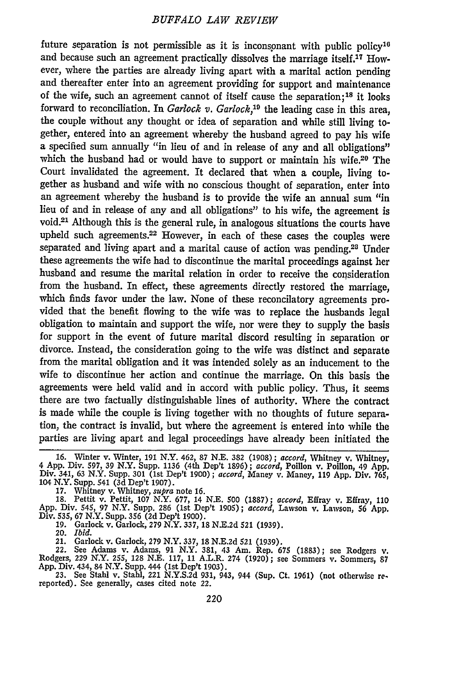## *BUFFALO LAW REVIEW*

future separation is not permissible as it is inconsonant with public policy<sup>1</sup> and because such an agreement practically dissolves the marriage itself.17 However, where the parties are already living apart with a marital action pending and thereafter enter into an agreement providing for support and maintenance of the wife, such an agreement cannot of itself cause the separation;18 it looks forward to reconciliation. In *Garlock v. Garlock,19* the leading case in this area, the couple without any thought or idea of separation and while still living together, entered into an agreement whereby the husband agreed to pay his wife a specified sum annually "in lieu of and in release of any and all obligations" which the husband had or would have to support or maintain his wife.<sup>20</sup> The Court invalidated the agreement. It declared that when a couple, living together as husband and wife with no conscious thought of separation, enter into an agreement whereby the husband is to provide the wife an annual sum **"in** lieu of and in release of any and all obligations" to his wife, the agreement is void.21 Although this is the general rule, in analogous situations the courts have upheld such agreements.<sup>22</sup> However, in each of these cases the couples were separated and living apart and a marital cause of action was pending.28 Under these agreements the wife had to discontinue the marital proceedings against her husband and resume the marital relation in order to receive the consideration from the husband. In effect, these agreements directly restored the marriage, which finds favor under the law. None of these reconcilatory agreements provided that the benefit flowing to the wife was to replace the husbands legal obligation to maintain and support the wife, nor were they to supply the basis for support in the event of future marital discord resulting in separation or divorce. Instead, the consideration going to the wife was distinct and separate from the marital obligation and it was intended solely as an inducement to the wife to discontinue her action and continue the marriage. On this basis the agreements were held valid and in accord with public policy. Thus, it seems there are two factually distinguishable lines of authority. Where the contract is made while the couple is living together with no thoughts of future separation, the contract is invalid, but where the agreement is entered into while the parties are living apart and legal proceedings have already been initiated the

17. Whitney v. Whitney, *supra* note 16.<br>18. Pettit v. Pettit, 107 N.Y. 677, 14 N.E. 500 (1887); accord, Effray v. Effray, 11<br>App. Div. 545, 97 N.Y. Supp. 286 (1st Dep't 1905); accord, Lawson v. Lawson, 56 App<br>Div. 535, 67

**19. Garlock v. Garlock, 279 N.Y. 337, 18 N.E.2d 521 (1939).**

*20. Ibid.*

21. Garlock v. Garlock, 279 N.Y. 337, 18 N.E.2d 521 (1939).<br>22. See Adams v. Adams, 91 N.Y. 381, 43 Am. Rep. 675 (1883); see Rodgers v.<br>Rodgers, 229 N.Y. 255, 128 N.E. 117, 11 A.L.R. 274 (1920); see Sommers v. Sommers, 87<br>

**23. See Stahl v. Stahl, 221 N.Y.S.2d 931,** 943, **944 (Sup. Ct. 1961) (not otherwise re- reported). See generally, cases cited note 22.**

<sup>16.</sup> Winter v. Winter, 191 N.Y. 462, 87 N.E. 382 (1908); accord, Whitney v. Whitney, 4 App. Div. 597, 39 N.Y. Supp. 1136 (4th Dep't 1896); accord, Poillon v. Poillon, 49 App. Div. 341, 63 N.Y. Supp. 301 (1st Dep't 1900); ac **104 N.Y. Supp. 541 (3d** Dep't **1907).**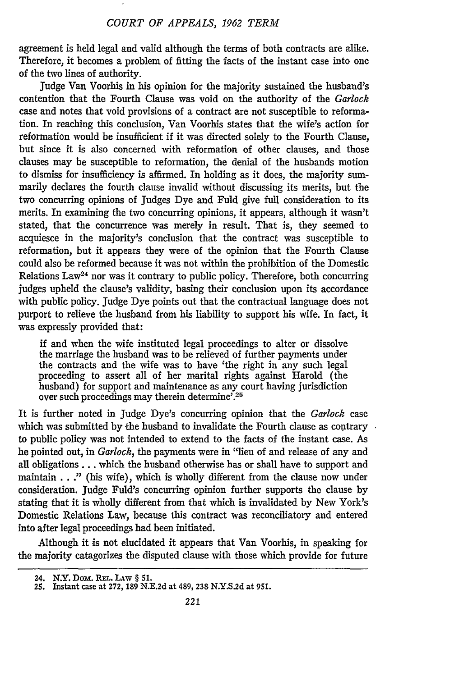agreement is held legal and valid although the terms of both contracts are alike. Therefore, it becomes a problem of fitting the facts of the instant case into one of the two lines of authority.

judge Van Voorhis in his opinion for the majority sustained the husband's contention that the Fourth Clause was void on the authority of the *Garlock* case and notes that void provisions of a contract are not susceptible to reformation. In reaching this conclusion, Van Voorhis states that the wife's action for reformation would be insufficient if it was directed solely to the Fourth Clause, but since it is also concerned with reformation of other clauses, and those clauses may be susceptible to reformation, the denial of the husbands motion to dismiss for insufficiency is affirmed. In holding as it does, the majority summarily declares the fourth clause invalid without discussing its merits, but the two concurring opinions of Judges Dye and Fuld give full consideration to its merits. In examining the two concurring opinions, it appears, although it wasn't stated, that the concurrence was merely in result. That is, they seemed to acquiesce in the majority's conclusion that the contract was susceptible to reformation, but it appears they were of the opinion that the Fourth Clause could also be reformed because it was not within the prohibition of the Domestic Relations Law24 nor was it contrary to public policy. Therefore, both concurring judges upheld the clause's validity, basing their conclusion upon its accordance with public policy. Judge Dye points out that the contractual language does not purport to relieve the husband from his liability to support his wife. In fact, it was expressly provided that:

**if** and when the wife instituted legal proceedings to alter or dissolve the marriage the husband was to be relieved of further payments under the contracts and the wife was to have 'the right in any such legal proceeding to assert all of her marital rights against Harold (the husband) for support and maintenance as any court having jurisdiction over such proceedings may therein determine'. <sup>25</sup>

It is further noted in Judge Dye's concurring opinion that the *Garlock* case which was submitted by the husband to invalidate the Fourth clause as contrary to public policy was not intended to extend to the facts of the instant case. As he pointed out, in *Garlock,* the payments were in "lieu of and release of any and all obligations.., which the husband otherwise has or shall have to support and maintain **. .** ." (his wife), which is wholly different from the clause now under consideration. Judge Fuld's concurring opinion further supports the clause by stating that it is wholly different from that which is invalidated by New York's Domestic Relations Law, because this contract was reconciliatory and entered into after legal proceedings had been initiated.

Although it is not elucidated it appears that Van Voorhis, in speaking for the majority catagorizes the disputed clause with those which provide for future

**<sup>24.</sup> N.Y.** *Dom* **REL.** LAw § **51.**

**<sup>25.</sup> Instant case at 272, 189 N.E.2d at 489, 238 N.Y.S.2d at 951.**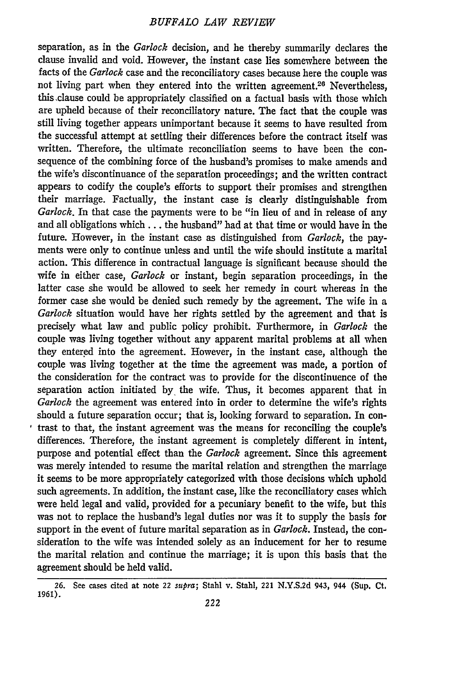separation, as in the *Garlock* decision, and he thereby summarily declares the clause invalid and void. However, the instant case lies somewhere between the facts of the *Garlock* case and the reconciliatory cases because here the couple was not living part when they entered into the written agreement.<sup>26</sup> Nevertheless, thisclause could be appropriately classified on a factual basis with those which are upheld because of their reconciliatory nature. The fact that the couple was still living together appears unimportant because it seems to have resulted from the successful attempt at settling their differences before the contract itself was written. Therefore, the ultimate reconciliation seems to have been the consequence of the combining force of the husband's promises to make amends and the wife's discontinuance of the separation proceedings; and the written contract appears to codify the couple's efforts to support their promises and strengthen their marriage. Factually, the instant case is clearly distinguishable from *Garlock.* In that case the payments were to be "in lieu of and in release of any and all obligations which.., the husband" had at that time or would have in the future. However, in the instant case as distinguished from *Garlock,* the payments were only to continue unless and until the wife should institute a marital action. This difference in contractual language is significant because should the wife in either case, *Garlock* or instant, begin separation proceedings, in the latter case she would be allowed to seek her remedy in court whereas in the former case she would be denied such remedy **by** the agreement. The wife in a *Garlock* situation would have her rights settled by the agreement and that is precisely what law and public policy prohibit. Furthermore, in *Garlock* the couple was living together without any apparent marital problems at all when they entered into the agreement. However, in the instant case, although the couple was living together at the time the agreement was made, a portion of the consideration for the contract was to provide for the discontinuence of the separation action initiated **by,** the wife. Thus, it becomes apparent that in *Garlock* the agreement was entered into in order to determine the wife's rights should a future separation occur; that is, looking forward to separation. In contrast to that, the instant agreement was the means for reconciling the couple's differences. Therefore, the instant agreement is completely different in intent, purpose and potential effect than the *Garlock* agreement. Since this agreement was merely intended to resume the marital relation and strengthen the marriage it seems to be more appropriately categorized with those decisions which uphold such agreements. In addition, the instant case, like the reconciliatory cases which were held legal and valid, provided for a pecuniary benefit to the wife, but this was not to replace the husband's legal duties nor was it to supply the basis for support in the event of future marital separation as in *Garlock.* Instead, the consideration to the wife was intended solely as an inducement for her to resume the marital relation and continue the marriage; it is upon this basis that the agreement should be held valid.

**<sup>26.</sup>** See cases cited at note 22 *supra;* Stahl v. Stahl, 221 N.Y.S.2d 943, 944 (Sup. Ct. **1961).**